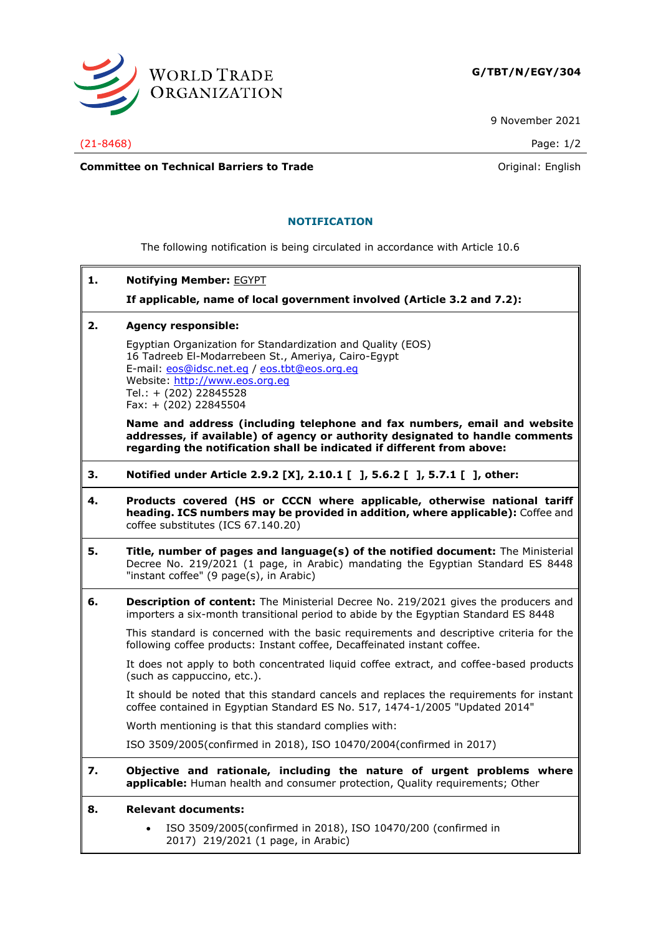

9 November 2021

**Committee on Technical Barriers to Trade Committee on Technical Barriers to Trade Original:** English

## **NOTIFICATION**

The following notification is being circulated in accordance with Article 10.6

**1. Notifying Member:** EGYPT

**If applicable, name of local government involved (Article 3.2 and 7.2):**

**2. Agency responsible:**

Egyptian Organization for Standardization and Quality (EOS) 16 Tadreeb El-Modarrebeen St., Ameriya, Cairo-Egypt E-mail: [eos@idsc.net.eg](mailto:eos@idsc.net.eg) / [eos.tbt@eos.org.eg](mailto:eos.tbt@eos.org.eg) Website: [http://www.eos.org.eg](http://www.eos.org.eg/) Tel.: + (202) 22845528 Fax: + (202) 22845504

**Name and address (including telephone and fax numbers, email and website addresses, if available) of agency or authority designated to handle comments regarding the notification shall be indicated if different from above:**

- **3. Notified under Article 2.9.2 [X], 2.10.1 [ ], 5.6.2 [ ], 5.7.1 [ ], other:**
- **4. Products covered (HS or CCCN where applicable, otherwise national tariff heading. ICS numbers may be provided in addition, where applicable):** Coffee and coffee substitutes (ICS 67.140.20)
- **5. Title, number of pages and language(s) of the notified document:** The Ministerial Decree No. 219/2021 (1 page, in Arabic) mandating the Egyptian Standard ES 8448 "instant coffee" (9 page(s), in Arabic)
- **6. Description of content:** The Ministerial Decree No. 219/2021 gives the producers and importers a six-month transitional period to abide by the Egyptian Standard ES 8448

This standard is concerned with the basic requirements and descriptive criteria for the following coffee products: Instant coffee, Decaffeinated instant coffee.

It does not apply to both concentrated liquid coffee extract, and coffee-based products (such as cappuccino, etc.).

It should be noted that this standard cancels and replaces the requirements for instant coffee contained in Egyptian Standard ES No. 517, 1474-1/2005 "Updated 2014"

Worth mentioning is that this standard complies with:

ISO 3509/2005(confirmed in 2018), ISO 10470/2004(confirmed in 2017)

**7. Objective and rationale, including the nature of urgent problems where applicable:** Human health and consumer protection, Quality requirements; Other

## **8. Relevant documents:**

• ISO 3509/2005(confirmed in 2018), ISO 10470/200 (confirmed in 2017) 219/2021 (1 page, in Arabic)

(21-8468) Page: 1/2